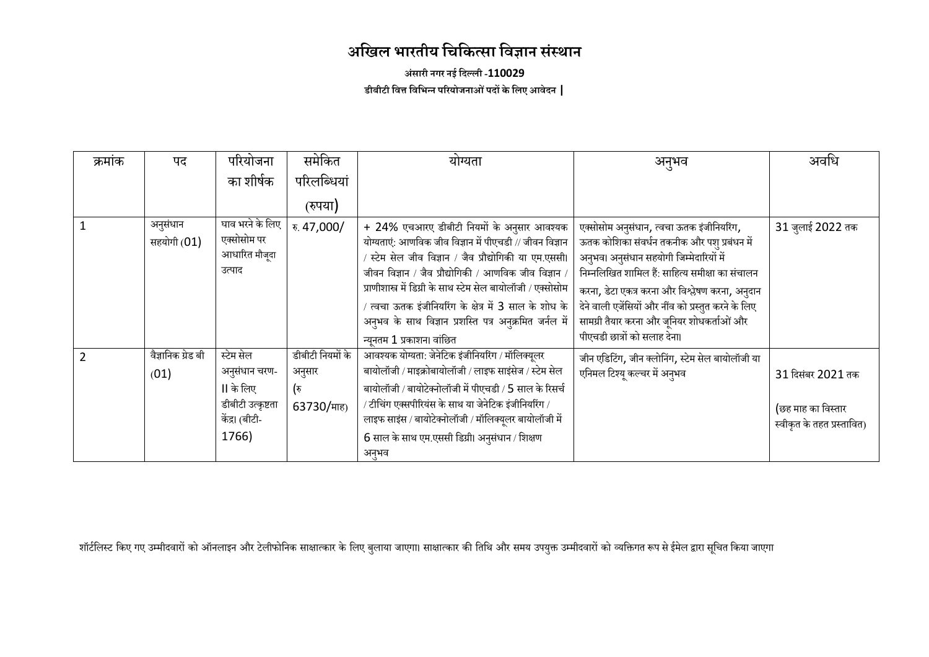# **अखिल भारतीय खिखित्सा खिज्ञान संस्थान**

**अंसारी नगर नईखिल्ली -110029 डीबीटी खित्त खिखभन्न पररयोजनाओंपिों िेखलए आिेिन |**

| क्रमांक | पद                 | परियोजना          | समेकित           | योग्यता                                                       | अनृभव                                               | अवधि                       |
|---------|--------------------|-------------------|------------------|---------------------------------------------------------------|-----------------------------------------------------|----------------------------|
|         |                    | का शीर्षक         | परिलब्धियां      |                                                               |                                                     |                            |
|         |                    |                   | (रुपया)          |                                                               |                                                     |                            |
|         | अनुसंधान           | घाव भरने के लिए   | रु. 47,000/      | + 24% एचआरए डीबीटी नियमों के अनुसार आवश्यक                    | एक्सोसोम अनुसंधान, त्वचा ऊतक इंजीनियरिंग,           | 31 जुलाई 2022 तक           |
|         | सहयोगी (01)        | एक्सोसोम पर       |                  | योग्यताएं: आणविक जीव विज्ञान में पीएचडी // जीवन विज्ञान       | ऊतक कोशिका संवर्धन तकनीक और पशु प्रबंधन में         |                            |
|         |                    | आधारित मौजूदा     |                  | स्टेम सेल जीव विज्ञान / जैव प्रौद्योगिकी या एम.एससी।          | अनुभव। अनुसंधान सहयोगी जिम्मेदारियों में            |                            |
|         |                    | उत्पाद            |                  | जीवन विज्ञान / जैव प्रौद्योगिकी / आणविक जीव विज्ञान /         | निम्नलिखित शामिल हैं: साहित्य समीक्षा का संचालन     |                            |
|         |                    |                   |                  | प्राणीशास्त्र में डिग्री के साथ स्टेम सेल बायोलॉजी / एक्सोसोम | करना, डेटा एकत्र करना और विश्लेषण करना, अनुदान      |                            |
|         |                    |                   |                  | त्वचा ऊतक इंजीनियरिंग के क्षेत्र में 3 साल के शोध के          | देने वाली एजेंसियों और नींव को प्रस्तुत करने के लिए |                            |
|         |                    |                   |                  | अनुभव के साथ विज्ञान प्रशस्ति पत्र अनुक्रमित जर्नल में        | सामग्री तैयार करना और जुनियर शोधकर्ताओं और          |                            |
|         |                    |                   |                  | न्यूनतम 1 प्रकाशन। वांछित                                     | पीएचडी छात्रों को सलाह देना।                        |                            |
|         | वैज्ञानिक ग्रेड बी | स्टेम सेल         | डीबीटी नियमों के | आवश्यक योग्यता: जेनेटिक इंजीनियरिंग / मॉलिक्यूलर              | जीन एडिटिंग, जीन क्लोनिंग, स्टेम सेल बायोलॉजी या    |                            |
|         | (01)               | अनुसंधान चरण-     | अनुसार           | बायोलॉजी / माइक्रोबायोलॉजी / लाइफ साइंसेज / स्टेम सेल         | एनिमल टिश्यू कल्चर में अनुभव                        | 31 दिसंबर 2021 तक          |
|         |                    | II के लिए         | (रु              | बायोलॉजी / बायोटेक्नोलॉजी में पीएचडी / 5 साल के रिसर्च        |                                                     |                            |
|         |                    | डीबीटी उत्कृष्टता | 63730/माह)       | / टीचिंग एक्सपीरियंस के साथ या जेनेटिक इंजीनियरिंग /          |                                                     | (छह माह का विस्तार         |
|         |                    | केंद्र। (बीटी-    |                  | लाइफ साइंस / बायोटेक्नोलॉजी / मॉलिक्यूलर बायोलॉजी में         |                                                     | स्वीकृत के तहत प्रस्तावित) |
|         |                    | 1766)             |                  | 6 साल के साथ एम.एससी डिग्री। अनुसंधान / शिक्षण                |                                                     |                            |
|         |                    |                   |                  | अनुभव                                                         |                                                     |                            |

शॉर्टलिस्ट किए गए उम्मीदवारों को ऑनलाइन और टेलीफोनिक साक्षात्कार के लिएमा साक्षात्कार की तिथि और समय उपयुक्त उम्मीदवारों को व्यक्तिगत रूप से ईमेल द्वारा सूचित किया जाएगा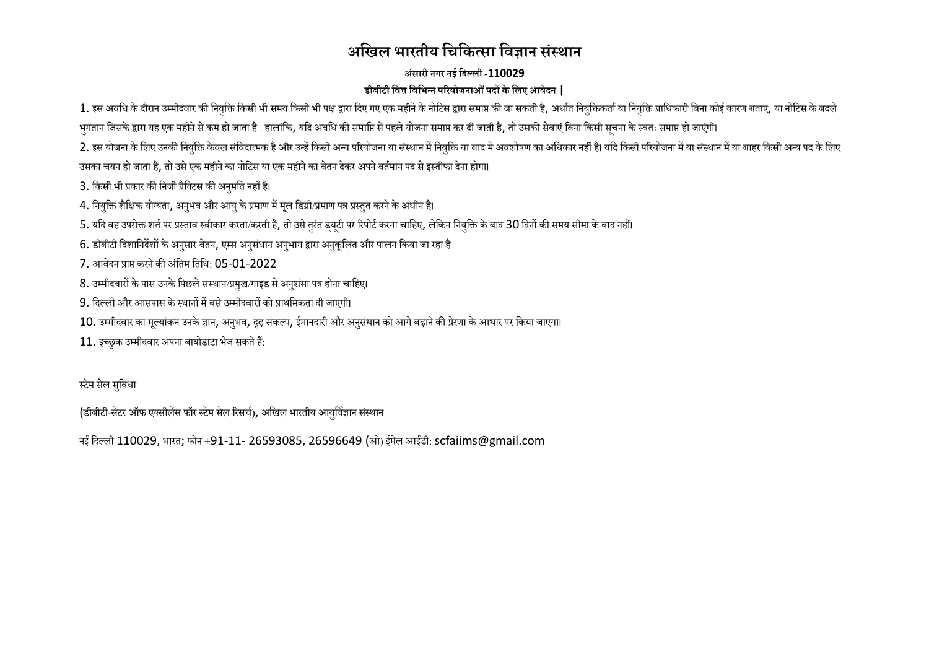## **अखिल भारतीय खिखित्सा खिज्ञान संस्थान**

### **अंसारी नगर नईखिल्ली -110029 डीबीटी खित्त खिखभन्न पररयोजनाओंपिों िेखलए आिेिन |**

1. इस अवधि के दौरान उम्मीदवार की नियुक्ति किसी भी समय किसी भी पक्ष द्वारा एक महीने के नोटिस द्वारा समाप्त की जासकर है, अर्थात नियुक्तिकर्ता या नियुक्ति प्राधिकारी बिना कोई कारण बताए, या नोटिस के बदले भगतान जिसके द्वारा यह एक महीने से कम हो जाता है . हालांकि, यदि अवधि की समाप्ति से पहले योजना कर सम रह कर बाद कर बाद सम के स्वतः समाप्त हो जाएंगी।

2. इस योजना के लिए उनकी नियुक्ति केवल संविदात्मक है और उन्हें किसी अन्य या संस्थान में मेंबाजन ये बारियोजन ये बार्स में से ब ब ब ब ब ब समयान में या बाहर किसी अन्य पद के लिए उसका चयन हो जाता है. तो उसे एक महीने का नोटिस या एक महीने का वेतन देकर अपने वर्तमान पद से इस्तीफा देना होगा।

3. किसी भी प्रकार की निजी प्रैक्टिस की अनुमति नहीं है।

4. नियुक्ति शैक्षिक योग्यता, अनुभव और आयु के प्रमाण में मुल डिग्री/प्रमाण पत्र प्रस्तुत करने के अधीन है।

5. यदि वह उपरोक्त शर्त पर प्रस्ताव स्वीकार करता/करती है, तो उसे तुरंत ड्यूटी पर रिपोर्ट करना चाहिए, लेकिन नियुक्ति के बाद 30 दिनों की समय सीमा के बाद नहीं।

6. डीबीटी दिशानिर्देशों के अनुसार वेतन, एम्स अनुसंधान अनुभाग द्वारा अनुकुलित और पालन किया जा रहा है

 $7.$  आवेदन प्राप्त करने की अंतिम तिथि $\cdot$  05-01-2022

8. उम्मीदवारों के पास उनके पिछले संस्थान/प्रमुख/गाइड से अनुशंसा पत्र होना चाहिए।

9. दिल्ली और आसपास के स्थानों में बसे उम्मीदवारों को प्राथमिकता दी जाएगी।

10. उम्मीदवार का मूल्यांकन उनके ज्ञान, अनुभव, दृढ़ संकल्प, ईमानदारी और अनुसंधान को आगे बढ़ाने की प्रेरणा के आधार पर किया जाएगा।

 $11.$  इच्छुक उम्मीदवार अपना बायोडाटा भेज सकते हैं:

स्टेम सेल सुविधा

(डीबीटी-सेंटर ऑफ एक्सीलेंस फॉर स्टेम सेल रिसर्च), अखिल भारतीय आयुर्विज्ञान संस्थान

नई दिल्ली 110029, भारत; फोन +91-11- 26593085, 26596649 (ओ) ईमेल आईडी: scfaiims@gmail.com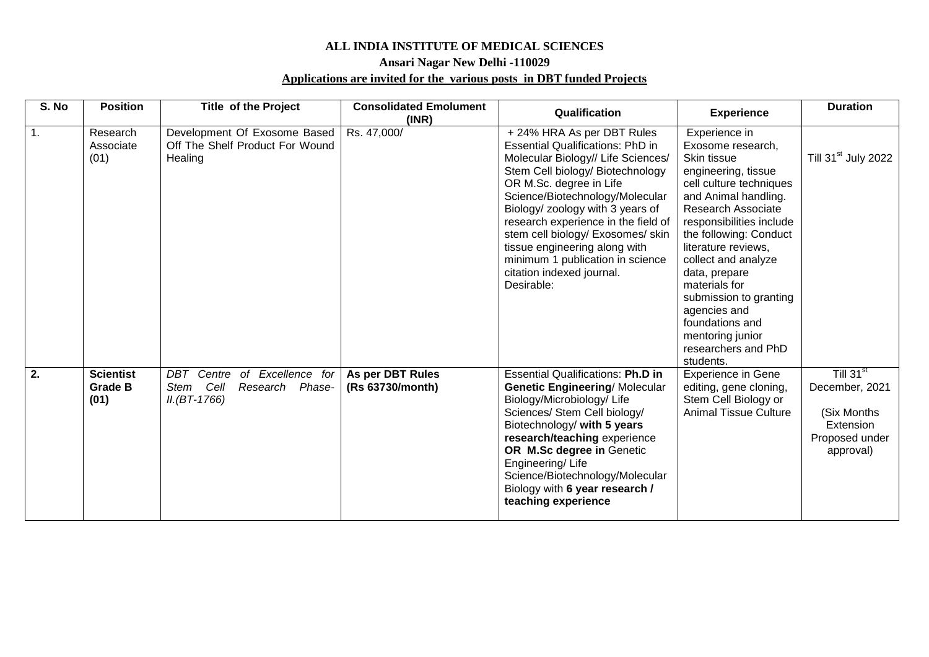#### **ALL INDIA INSTITUTE OF MEDICAL SCIENCES**

#### **Ansari Nagar New Delhi -110029**

#### **Applications are invited for the various posts in DBT funded Projects**

| S. No | <b>Position</b>                            | <b>Title of the Project</b>                                                            | <b>Consolidated Emolument</b>        | Qualification                                                                                                                                                                                                                                                                                                                                                                                                                                |                                                                                                                                                                                                                                                                                                                                                                                                                     | <b>Duration</b>                                                                                    |
|-------|--------------------------------------------|----------------------------------------------------------------------------------------|--------------------------------------|----------------------------------------------------------------------------------------------------------------------------------------------------------------------------------------------------------------------------------------------------------------------------------------------------------------------------------------------------------------------------------------------------------------------------------------------|---------------------------------------------------------------------------------------------------------------------------------------------------------------------------------------------------------------------------------------------------------------------------------------------------------------------------------------------------------------------------------------------------------------------|----------------------------------------------------------------------------------------------------|
|       |                                            |                                                                                        | (INR)                                |                                                                                                                                                                                                                                                                                                                                                                                                                                              | <b>Experience</b>                                                                                                                                                                                                                                                                                                                                                                                                   |                                                                                                    |
| 1.    | Research<br>Associate<br>(01)              | Development Of Exosome Based<br>Off The Shelf Product For Wound<br>Healing             | Rs. 47,000/                          | +24% HRA As per DBT Rules<br><b>Essential Qualifications: PhD in</b><br>Molecular Biology// Life Sciences/<br>Stem Cell biology/ Biotechnology<br>OR M.Sc. degree in Life<br>Science/Biotechnology/Molecular<br>Biology/ zoology with 3 years of<br>research experience in the field of<br>stem cell biology/ Exosomes/ skin<br>tissue engineering along with<br>minimum 1 publication in science<br>citation indexed journal.<br>Desirable: | Experience in<br>Exosome research,<br>Skin tissue<br>engineering, tissue<br>cell culture techniques<br>and Animal handling.<br><b>Research Associate</b><br>responsibilities include<br>the following: Conduct<br>literature reviews,<br>collect and analyze<br>data, prepare<br>materials for<br>submission to granting<br>agencies and<br>foundations and<br>mentoring junior<br>researchers and PhD<br>students. | Till 31 <sup>st</sup> July 2022                                                                    |
| 2.    | <b>Scientist</b><br><b>Grade B</b><br>(01) | of Excellence for<br>Centre<br>DBT<br>Cell<br>Research Phase-<br>Stem<br>$IL(BT-1766)$ | As per DBT Rules<br>(Rs 63730/month) | <b>Essential Qualifications: Ph.D in</b><br><b>Genetic Engineering/Molecular</b><br>Biology/Microbiology/Life<br>Sciences/ Stem Cell biology/<br>Biotechnology/ with 5 years<br>research/teaching experience<br>OR M.Sc degree in Genetic<br>Engineering/Life<br>Science/Biotechnology/Molecular<br>Biology with 6 year research /<br>teaching experience                                                                                    | <b>Experience in Gene</b><br>editing, gene cloning,<br>Stem Cell Biology or<br><b>Animal Tissue Culture</b>                                                                                                                                                                                                                                                                                                         | Till 31 <sup>st</sup><br>December, 2021<br>(Six Months<br>Extension<br>Proposed under<br>approval) |